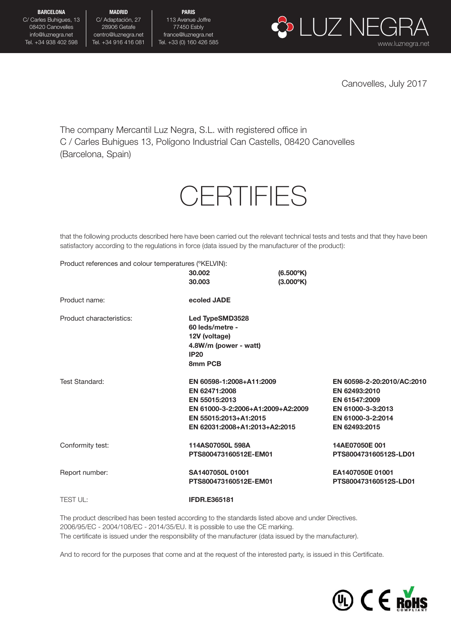C/ Carles Buhigues, 13 08420 Canovelles info@luznegra.net Tel. +34 938 402 598

MADRID C/ Adaptación, 27 28906 Getafe centro@luznegra.net Tel. +34 916 416 081

PARIS 113 Avenue Joffre 77450 Esbly france@luznegra.net



Canovelles, July 2017

The company Mercantil Luz Negra, S.L. with registered office in C / Carles Buhigues 13, Polígono Industrial Can Castells, 08420 Canovelles (Barcelona, Spain)

## **CERTIFIES**

that the following products described here have been carried out the relevant technical tests and tests and that they have been satisfactory according to the regulations in force (data issued by the manufacturer of the product):

Product references and colour temperatures (ºKELVIN):

|                          | 30,002<br>30.003                                                                                                     | $(6.500^{\circ}K)$<br>$(3.000^{\circ}K)$ |                                                                                                                         |
|--------------------------|----------------------------------------------------------------------------------------------------------------------|------------------------------------------|-------------------------------------------------------------------------------------------------------------------------|
| Product name:            | ecoled JADE                                                                                                          |                                          |                                                                                                                         |
| Product characteristics: | Led TypeSMD3528<br>60 leds/metre -<br>12V (voltage)<br>4.8W/m (power - watt)<br><b>IP20</b><br>8mm PCB               |                                          |                                                                                                                         |
| Test Standard:           | EN 60598-1:2008+A11:2009<br>EN 62471:2008<br>EN 55015:2013<br>EN 55015:2013+A1:2015<br>EN 62031:2008+A1:2013+A2:2015 | EN 61000-3-2:2006+A1:2009+A2:2009        | EN 60598-2-20:2010/AC:2010<br>EN 62493:2010<br>EN 61547:2009<br>EN 61000-3-3:2013<br>EN 61000-3-2:2014<br>EN 62493:2015 |
| Conformity test:         | 114AS07050L 598A<br>PTS800473160512E-EM01                                                                            |                                          | 14AE07050E 001<br>PTS800473160512S-LD01                                                                                 |
| Report number:           | SA1407050L 01001<br>PTS800473160512E-EM01                                                                            |                                          | EA1407050E 01001<br>PTS800473160512S-LD01                                                                               |
| <b>TEST UL:</b>          | <b>IFDR.E365181</b>                                                                                                  |                                          |                                                                                                                         |

The product described has been tested according to the standards listed above and under Directives. 2006/95/EC - 2004/108/EC - 2014/35/EU. It is possible to use the CE marking. The certificate is issued under the responsibility of the manufacturer (data issued by the manufacturer).

And to record for the purposes that come and at the request of the interested party, is issued in this Certificate.